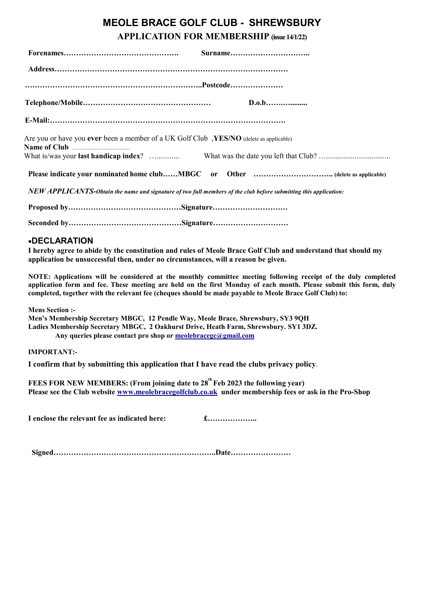## MEOLE BRACE GOLF CLUB - SHREWSBURY APPLICATION FOR MEMBERSHIP (issue 14/1/22)

|                                                                                                                  | $D.0. b \ldots 0.01$ |
|------------------------------------------------------------------------------------------------------------------|----------------------|
|                                                                                                                  |                      |
| Are you or have you ever been a member of a UK Golf Club $, \text{YES/NO}$ (delete as applicable)                |                      |
|                                                                                                                  |                      |
|                                                                                                                  |                      |
| NEW APPLICANTS-Obtain the name and signature of two full members of the club before submitting this application: |                      |
|                                                                                                                  |                      |

Seconded by………………………………………Signature…………………………

## DECLARATION

I hereby agree to abide by the constitution and rules of Meole Brace Golf Club and understand that should my application be unsuccessful then, under no circumstances, will a reason be given.

NOTE: Applications will be considered at the monthly committee meeting following receipt of the duly completed application form and fee. These meeting are held on the first Monday of each month. Please submit this form, duly completed, together with the relevant fee (cheques should be made payable to Meole Brace Golf Club) to:

Mens Section :- Men's Membership Secretary MBGC, 12 Pendle Way, Meole Brace, Shrewsbury, SY3 9QH Ladies Membership Secretary MBGC, 2 Oakhurst Drive, Heath Farm, Shrewsbury. SY1 3DZ. Any queries please contact pro shop or meolebracegc@gmail.com

IMPORTANT:-

I confirm that by submitting this application that I have read the clubs privacy policy.

FEES FOR NEW MEMBERS: (From joining date to  $28<sup>th</sup>$  Feb 2023 the following year) Please see the Club website www.meolebracegolfclub.co.uk under membership fees or ask in the Pro-Shop

I enclose the relevant fee as indicated here:  $f_{1}$   $f_{2}$   $f_{3}$   $f_{4}$   $f_{5}$   $f_{6}$   $f_{7}$   $f_{8}$   $f_{9}$   $f_{10}$   $f_{11}$   $f_{12}$   $f_{13}$   $f_{14}$   $f_{15}$   $f_{16}$   $f_{17}$   $f_{18}$   $f_{19}$   $f_{10}$   $f_{11}$   $f_{12}$   $f_{13}$ 

Signed………………………………………………………..Date……………………